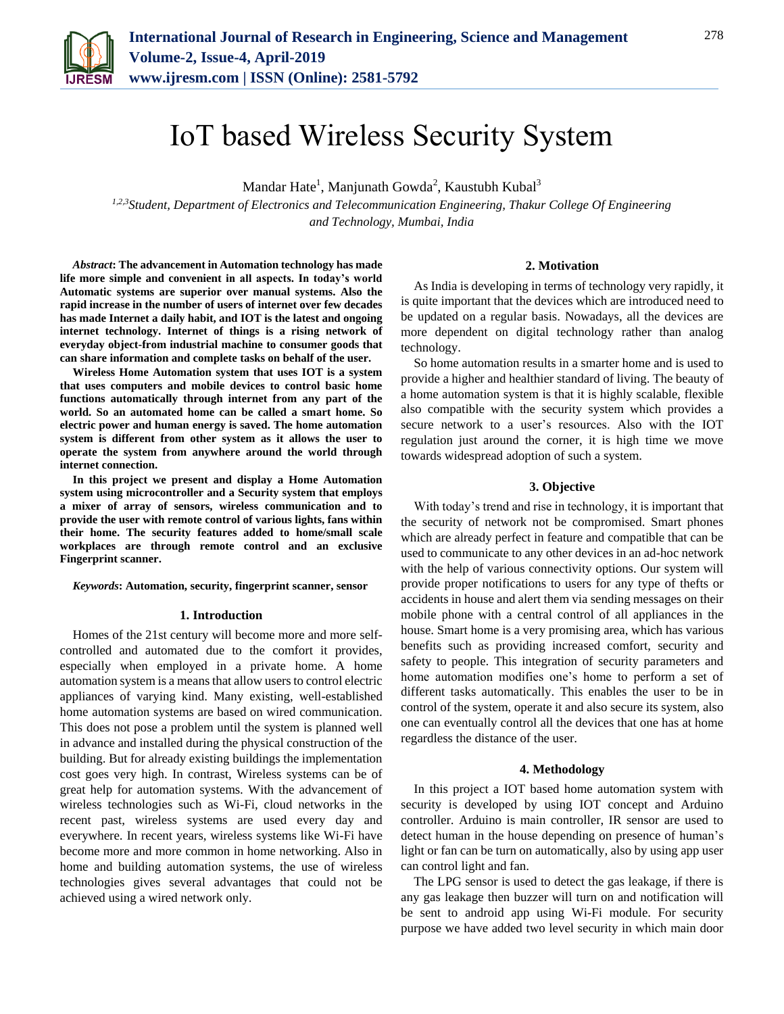

# IoT based Wireless Security System

Mandar Hate<sup>1</sup>, Manjunath Gowda<sup>2</sup>, Kaustubh Kubal<sup>3</sup>

*1,2,3Student, Department of Electronics and Telecommunication Engineering, Thakur College Of Engineering and Technology, Mumbai, India*

## **2. Motivation**

*Abstract***: The advancement in Automation technology has made life more simple and convenient in all aspects. In today's world Automatic systems are superior over manual systems. Also the rapid increase in the number of users of internet over few decades has made Internet a daily habit, and IOT is the latest and ongoing internet technology. Internet of things is a rising network of everyday object-from industrial machine to consumer goods that can share information and complete tasks on behalf of the user.** 

**Wireless Home Automation system that uses IOT is a system that uses computers and mobile devices to control basic home functions automatically through internet from any part of the world. So an automated home can be called a smart home. So electric power and human energy is saved. The home automation system is different from other system as it allows the user to operate the system from anywhere around the world through internet connection.**

**In this project we present and display a Home Automation system using microcontroller and a Security system that employs a mixer of array of sensors, wireless communication and to provide the user with remote control of various lights, fans within their home. The security features added to home/small scale workplaces are through remote control and an exclusive Fingerprint scanner.**

*Keywords***: Automation, security, fingerprint scanner, sensor**

### **1. Introduction**

Homes of the 21st century will become more and more selfcontrolled and automated due to the comfort it provides, especially when employed in a private home. A home automation system is a means that allow users to control electric appliances of varying kind. Many existing, well-established home automation systems are based on wired communication. This does not pose a problem until the system is planned well in advance and installed during the physical construction of the building. But for already existing buildings the implementation cost goes very high. In contrast, Wireless systems can be of great help for automation systems. With the advancement of wireless technologies such as Wi-Fi, cloud networks in the recent past, wireless systems are used every day and everywhere. In recent years, wireless systems like Wi-Fi have become more and more common in home networking. Also in home and building automation systems, the use of wireless technologies gives several advantages that could not be achieved using a wired network only.

As India is developing in terms of technology very rapidly, it is quite important that the devices which are introduced need to be updated on a regular basis. Nowadays, all the devices are more dependent on digital technology rather than analog technology.

So home automation results in a smarter home and is used to provide a higher and healthier standard of living. The beauty of a home automation system is that it is highly scalable, flexible also compatible with the security system which provides a secure network to a user's resources. Also with the IOT regulation just around the corner, it is high time we move towards widespread adoption of such a system.

## **3. Objective**

With today's trend and rise in technology, it is important that the security of network not be compromised. Smart phones which are already perfect in feature and compatible that can be used to communicate to any other devices in an ad-hoc network with the help of various connectivity options. Our system will provide proper notifications to users for any type of thefts or accidents in house and alert them via sending messages on their mobile phone with a central control of all appliances in the house. Smart home is a very promising area, which has various benefits such as providing increased comfort, security and safety to people. This integration of security parameters and home automation modifies one's home to perform a set of different tasks automatically. This enables the user to be in control of the system, operate it and also secure its system, also one can eventually control all the devices that one has at home regardless the distance of the user.

#### **4. Methodology**

In this project a IOT based home automation system with security is developed by using IOT concept and Arduino controller. Arduino is main controller, IR sensor are used to detect human in the house depending on presence of human's light or fan can be turn on automatically, also by using app user can control light and fan.

The LPG sensor is used to detect the gas leakage, if there is any gas leakage then buzzer will turn on and notification will be sent to android app using Wi-Fi module. For security purpose we have added two level security in which main door